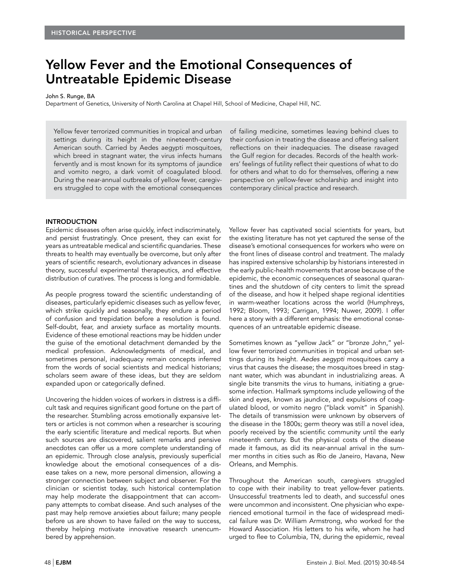# Yellow Fever and the Emotional Consequences of Untreatable Epidemic Disease

#### John S. Runge, BA

Department of Genetics, University of North Carolina at Chapel Hill, School of Medicine, Chapel Hill, NC.

Yellow fever terrorized communities in tropical and urban settings during its height in the nineteenth-century American south. Carried by Aedes aegypti mosquitoes, which breed in stagnant water, the virus infects humans fervently and is most known for its symptoms of jaundice and vomito negro, a dark vomit of coagulated blood. During the near-annual outbreaks of yellow fever, caregivers struggled to cope with the emotional consequences of failing medicine, sometimes leaving behind clues to their confusion in treating the disease and offering salient reflections on their inadequacies. The disease ravaged the Gulf region for decades. Records of the health workers' feelings of futility reflect their questions of what to do for others and what to do for themselves, offering a new perspective on yellow-fever scholarship and insight into contemporary clinical practice and research.

## INTRODUCTION

Epidemic diseases often arise quickly, infect indiscriminately, and persist frustratingly. Once present, they can exist for years as untreatable medical and scientific quandaries. These threats to health may eventually be overcome, but only after years of scientific research, evolutionary advances in disease theory, successful experimental therapeutics, and effective distribution of curatives. The process is long and formidable.

As people progress toward the scientific understanding of diseases, particularly epidemic diseases such as yellow fever, which strike quickly and seasonally, they endure a period of confusion and trepidation before a resolution is found. Self-doubt, fear, and anxiety surface as mortality mounts. Evidence of these emotional reactions may be hidden under the guise of the emotional detachment demanded by the medical profession. Acknowledgments of medical, and sometimes personal, inadequacy remain concepts inferred from the words of social scientists and medical historians; scholars seem aware of these ideas, but they are seldom expanded upon or categorically defined.

Uncovering the hidden voices of workers in distress is a difficult task and requires significant good fortune on the part of the researcher. Stumbling across emotionally expansive letters or articles is not common when a researcher is scouring the early scientific literature and medical reports. But when such sources are discovered, salient remarks and pensive anecdotes can offer us a more complete understanding of an epidemic. Through close analysis, previously superficial knowledge about the emotional consequences of a disease takes on a new, more personal dimension, allowing a stronger connection between subject and observer. For the clinician or scientist today, such historical contemplation may help moderate the disappointment that can accompany attempts to combat disease. And such analyses of the past may help remove anxieties about failure; many people before us are shown to have failed on the way to success, thereby helping motivate innovative research unencumbered by apprehension.

Yellow fever has captivated social scientists for years, but the existing literature has not yet captured the sense of the disease's emotional consequences for workers who were on the front lines of disease control and treatment. The malady has inspired extensive scholarship by historians interested in the early public-health movements that arose because of the epidemic, the economic consequences of seasonal quarantines and the shutdown of city centers to limit the spread of the disease, and how it helped shape regional identities in warm-weather locations across the world (Humphreys, 1992; Bloom, 1993; Carrigan, 1994; Nuwer, 2009). I offer here a story with a different emphasis: the emotional consequences of an untreatable epidemic disease.

Sometimes known as "yellow Jack" or "bronze John," yellow fever terrorized communities in tropical and urban settings during its height. Aedes aegypti mosquitoes carry a virus that causes the disease; the mosquitoes breed in stagnant water, which was abundant in industrializing areas. A single bite transmits the virus to humans, initiating a gruesome infection. Hallmark symptoms include yellowing of the skin and eyes, known as jaundice, and expulsions of coagulated blood, or vomito negro ("black vomit" in Spanish). The details of transmission were unknown by observers of the disease in the 1800s; germ theory was still a novel idea, poorly received by the scientific community until the early nineteenth century. But the physical costs of the disease made it famous, as did its near-annual arrival in the summer months in cities such as Rio de Janeiro, Havana, New Orleans, and Memphis.

Throughout the American south, caregivers struggled to cope with their inability to treat yellow-fever patients. Unsuccessful treatments led to death, and successful ones were uncommon and inconsistent. One physician who experienced emotional turmoil in the face of widespread medical failure was Dr. William Armstrong, who worked for the Howard Association. His letters to his wife, whom he had urged to flee to Columbia, TN, during the epidemic, reveal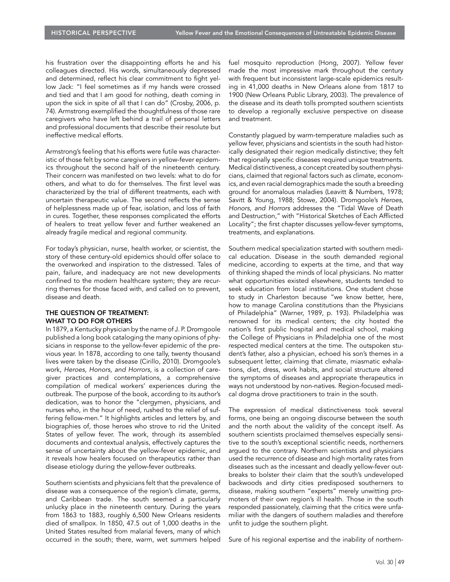his frustration over the disappointing efforts he and his colleagues directed. His words, simultaneously depressed and determined, reflect his clear commitment to fight yellow Jack: "I feel sometimes as if my hands were crossed and tied and that I am good for nothing, death coming in upon the sick in spite of all that I can do" (Crosby, 2006, p. 74). Armstrong exemplified the thoughtfulness of those rare caregivers who have left behind a trail of personal letters and professional documents that describe their resolute but ineffective medical efforts.

Armstrong's feeling that his efforts were futile was characteristic of those felt by some caregivers in yellow-fever epidemics throughout the second half of the nineteenth century. Their concern was manifested on two levels: what to do for others, and what to do for themselves. The first level was characterized by the trial of different treatments, each with uncertain therapeutic value. The second reflects the sense of helplessness made up of fear, isolation, and loss of faith in cures. Together, these responses complicated the efforts of healers to treat yellow fever and further weakened an already fragile medical and regional community.

For today's physician, nurse, health worker, or scientist, the story of these century-old epidemics should offer solace to the overworked and inspiration to the distressed. Tales of pain, failure, and inadequacy are not new developments confined to the modern healthcare system; they are recurring themes for those faced with, and called on to prevent, disease and death.

### THE QUESTION OF TREATMENT: WHAT TO DO FOR OTHERS

In 1879, a Kentucky physician by the name of J. P. Dromgoole published a long book cataloging the many opinions of physicians in response to the yellow-fever epidemic of the previous year. In 1878, according to one tally, twenty thousand lives were taken by the disease (Cirillo, 2010). Dromgoole's work, Heroes, Honors, and Horrors, is a collection of caregiver practices and contemplations, a comprehensive compilation of medical workers' experiences during the outbreak. The purpose of the book, according to its author's dedication, was to honor the "clergymen, physicians, and nurses who, in the hour of need, rushed to the relief of suffering fellow-men." It highlights articles and letters by, and biographies of, those heroes who strove to rid the United States of yellow fever. The work, through its assembled documents and contextual analysis, effectively captures the sense of uncertainty about the yellow-fever epidemic, and it reveals how healers focused on therapeutics rather than disease etiology during the yellow-fever outbreaks.

Southern scientists and physicians felt that the prevalence of disease was a consequence of the region's climate, germs, and Caribbean trade. The south seemed a particularly unlucky place in the nineteenth century. During the years from 1863 to 1883, roughly 6,500 New Orleans residents died of smallpox. In 1850, 47.5 out of 1,000 deaths in the United States resulted from malarial fevers, many of which occurred in the south; there, warm, wet summers helped fuel mosquito reproduction (Hong, 2007). Yellow fever made the most impressive mark throughout the century with frequent but inconsistent large-scale epidemics resulting in 41,000 deaths in New Orleans alone from 1817 to 1900 (New Orleans Public Library, 2003). The prevalence of the disease and its death tolls prompted southern scientists to develop a regionally exclusive perspective on disease and treatment.

Constantly plagued by warm-temperature maladies such as yellow fever, physicians and scientists in the south had historically designated their region medically distinctive; they felt that regionally specific diseases required unique treatments. Medical distinctiveness, a concept created by southern physicians, claimed that regional factors such as climate, economics, and even racial demographics made the south a breeding ground for anomalous maladies (Leavitt & Numbers, 1978; Savitt & Young, 1988; Stowe, 2004). Dromgoole's Heroes, Honors, and Horrors addresses the "Tidal Wave of Death and Destruction," with "Historical Sketches of Each Afflicted Locality"; the first chapter discusses yellow-fever symptoms, treatments, and explanations.

Southern medical specialization started with southern medical education. Disease in the south demanded regional medicine, according to experts at the time, and that way of thinking shaped the minds of local physicians. No matter what opportunities existed elsewhere, students tended to seek education from local institutions. One student chose to study in Charleston because "we know better, here, how to manage Carolina constitutions than the Physicians of Philadelphia" (Warner, 1989, p. 193). Philadelphia was renowned for its medical centers; the city hosted the nation's first public hospital and medical school, making the College of Physicians in Philadelphia one of the most respected medical centers at the time. The outspoken student's father, also a physician, echoed his son's themes in a subsequent letter, claiming that climate, miasmatic exhalations, diet, dress, work habits, and social structure altered the symptoms of diseases and appropriate therapeutics in ways not understood by non-natives. Region-focused medical dogma drove practitioners to train in the south.

The expression of medical distinctiveness took several forms, one being an ongoing discourse between the south and the north about the validity of the concept itself. As southern scientists proclaimed themselves especially sensitive to the south's exceptional scientific needs, northerners argued to the contrary. Northern scientists and physicians used the recurrence of disease and high mortality rates from diseases such as the incessant and deadly yellow-fever outbreaks to bolster their claim that the south's undeveloped backwoods and dirty cities predisposed southerners to disease, making southern "experts" merely unwitting promoters of their own region's ill health. Those in the south responded passionately, claiming that the critics were unfamiliar with the dangers of southern maladies and therefore unfit to judge the southern plight.

Sure of his regional expertise and the inability of northern-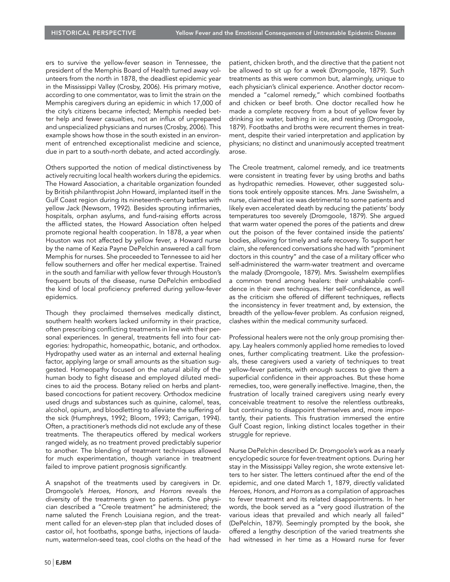ers to survive the yellow-fever season in Tennessee, the president of the Memphis Board of Health turned away volunteers from the north in 1878, the deadliest epidemic year in the Mississippi Valley (Crosby, 2006). His primary motive, according to one commentator, was to limit the strain on the Memphis caregivers during an epidemic in which 17,000 of the city's citizens became infected; Memphis needed better help and fewer casualties, not an influx of unprepared and unspecialized physicians and nurses (Crosby, 2006). This example shows how those in the south existed in an environment of entrenched exceptionalist medicine and science, due in part to a south-north debate, and acted accordingly.

Others supported the notion of medical distinctiveness by actively recruiting local health workers during the epidemics. The Howard Association, a charitable organization founded by British philanthropist John Howard, implanted itself in the Gulf Coast region during its nineteenth-century battles with yellow Jack (Newsom, 1992). Besides sprouting infirmaries, hospitals, orphan asylums, and fund-raising efforts across the afflicted states, the Howard Association often helped promote regional health cooperation. In 1878, a year when Houston was not affected by yellow fever, a Howard nurse by the name of Kezia Payne DePelchin answered a call from Memphis for nurses. She proceeded to Tennessee to aid her fellow southerners and offer her medical expertise. Trained in the south and familiar with yellow fever through Houston's frequent bouts of the disease, nurse DePelchin embodied the kind of local proficiency preferred during yellow-fever epidemics.

Though they proclaimed themselves medically distinct, southern health workers lacked uniformity in their practice, often prescribing conflicting treatments in line with their personal experiences. In general, treatments fell into four categories: hydropathic, homeopathic, botanic, and orthodox. Hydropathy used water as an internal and external healing factor, applying large or small amounts as the situation suggested. Homeopathy focused on the natural ability of the human body to fight disease and employed diluted medicines to aid the process. Botany relied on herbs and plantbased concoctions for patient recovery. Orthodox medicine used drugs and substances such as quinine, calomel, teas, alcohol, opium, and bloodletting to alleviate the suffering of the sick (Humphreys, 1992; Bloom, 1993; Carrigan, 1994). Often, a practitioner's methods did not exclude any of these treatments. The therapeutics offered by medical workers ranged widely, as no treatment proved predictably superior to another. The blending of treatment techniques allowed for much experimentation, though variance in treatment failed to improve patient prognosis significantly.

A snapshot of the treatments used by caregivers in Dr. Dromgoole's Heroes, Honors, and Horrors reveals the diversity of the treatments given to patients. One physician described a "Creole treatment" he administered; the name saluted the French Louisiana region, and the treatment called for an eleven-step plan that included doses of castor oil, hot footbaths, sponge baths, injections of laudanum, watermelon-seed teas, cool cloths on the head of the patient, chicken broth, and the directive that the patient not be allowed to sit up for a week (Dromgoole, 1879). Such treatments as this were common but, alarmingly, unique to each physician's clinical experience. Another doctor recommended a "calomel remedy," which combined footbaths and chicken or beef broth. One doctor recalled how he made a complete recovery from a bout of yellow fever by drinking ice water, bathing in ice, and resting (Dromgoole, 1879). Footbaths and broths were recurrent themes in treatment, despite their varied interpretation and application by physicians; no distinct and unanimously accepted treatment arose.

The Creole treatment, calomel remedy, and ice treatments were consistent in treating fever by using broths and baths as hydropathic remedies. However, other suggested solutions took entirely opposite stances. Mrs. Jane Swisshelm, a nurse, claimed that ice was detrimental to some patients and likely even accelerated death by reducing the patients' body temperatures too severely (Dromgoole, 1879). She argued that warm water opened the pores of the patients and drew out the poison of the fever contained inside the patients' bodies, allowing for timely and safe recovery. To support her claim, she referenced conversations she had with "prominent doctors in this country" and the case of a military officer who self-administered the warm-water treatment and overcame the malady (Dromgoole, 1879). Mrs. Swisshelm exemplifies a common trend among healers: their unshakable confidence in their own techniques. Her self-confidence, as well as the criticism she offered of different techniques, reflects the inconsistency in fever treatment and, by extension, the breadth of the yellow-fever problem. As confusion reigned, clashes within the medical community surfaced.

Professional healers were not the only group promising therapy. Lay healers commonly applied home remedies to loved ones, further complicating treatment. Like the professionals, these caregivers used a variety of techniques to treat yellow-fever patients, with enough success to give them a superficial confidence in their approaches. But these home remedies, too, were generally ineffective. Imagine, then, the frustration of locally trained caregivers using nearly every conceivable treatment to resolve the relentless outbreaks, but continuing to disappoint themselves and, more importantly, their patients. This frustration immersed the entire Gulf Coast region, linking distinct locales together in their struggle for reprieve.

Nurse DePelchin described Dr. Dromgoole's work as a nearly encyclopedic source for fever-treatment options. During her stay in the Mississippi Valley region, she wrote extensive letters to her sister. The letters continued after the end of the epidemic, and one dated March 1, 1879, directly validated Heroes, Honors, and Horrors as a compilation of approaches to fever treatment and its related disappointments. In her words, the book served as a "very good illustration of the various ideas that prevailed and which nearly all failed" (DePelchin, 1879). Seemingly prompted by the book, she offered a lengthy description of the varied treatments she had witnessed in her time as a Howard nurse for fever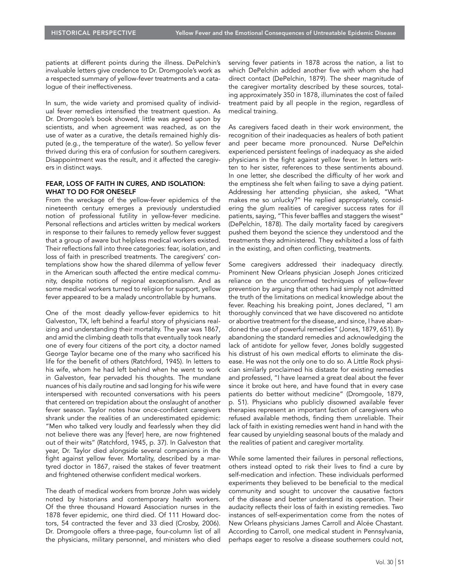patients at different points during the illness. DePelchin's invaluable letters give credence to Dr. Dromgoole's work as a respected summary of yellow-fever treatments and a catalogue of their ineffectiveness.

In sum, the wide variety and promised quality of individual fever remedies intensified the treatment question. As Dr. Dromgoole's book showed, little was agreed upon by scientists, and when agreement was reached, as on the use of water as a curative, the details remained highly disputed (e.g., the temperature of the water). So yellow fever thrived during this era of confusion for southern caregivers. Disappointment was the result, and it affected the caregivers in distinct ways.

#### FEAR, LOSS OF FAITH IN CURES, AND ISOLATION: WHAT TO DO FOR ONESELF

From the wreckage of the yellow-fever epidemics of the nineteenth century emerges a previously understudied notion of professional futility in yellow-fever medicine. Personal reflections and articles written by medical workers in response to their failures to remedy yellow fever suggest that a group of aware but helpless medical workers existed. Their reflections fall into three categories: fear, isolation, and loss of faith in prescribed treatments. The caregivers' contemplations show how the shared dilemma of yellow fever in the American south affected the entire medical community, despite notions of regional exceptionalism. And as some medical workers turned to religion for support, yellow fever appeared to be a malady uncontrollable by humans.

One of the most deadly yellow-fever epidemics to hit Galveston, TX, left behind a fearful story of physicians realizing and understanding their mortality. The year was 1867, and amid the climbing death tolls that eventually took nearly one of every four citizens of the port city, a doctor named George Taylor became one of the many who sacrificed his life for the benefit of others (Ratchford, 1945). In letters to his wife, whom he had left behind when he went to work in Galveston, fear pervaded his thoughts. The mundane nuances of his daily routine and sad longing for his wife were interspersed with recounted conversations with his peers that centered on trepidation about the onslaught of another fever season. Taylor notes how once-confident caregivers shrank under the realities of an underestimated epidemic: "Men who talked very loudly and fearlessly when they did not believe there was any [fever] here, are now frightened out of their wits" (Ratchford, 1945, p. 37). In Galveston that year, Dr. Taylor died alongside several companions in the fight against yellow fever. Mortality, described by a martyred doctor in 1867, raised the stakes of fever treatment and frightened otherwise confident medical workers.

The death of medical workers from bronze John was widely noted by historians and contemporary health workers. Of the three thousand Howard Association nurses in the 1878 fever epidemic, one third died. Of 111 Howard doctors, 54 contracted the fever and 33 died (Crosby, 2006). Dr. Dromgoole offers a three-page, four-column list of all the physicians, military personnel, and ministers who died

serving fever patients in 1878 across the nation, a list to which DePelchin added another five with whom she had direct contact (DePelchin, 1879). The sheer magnitude of the caregiver mortality described by these sources, totaling approximately 350 in 1878, illuminates the cost of failed treatment paid by all people in the region, regardless of medical training.

As caregivers faced death in their work environment, the recognition of their inadequacies as healers of both patient and peer became more pronounced. Nurse DePelchin experienced persistent feelings of inadequacy as she aided physicians in the fight against yellow fever. In letters written to her sister, references to these sentiments abound. In one letter, she described the difficulty of her work and the emptiness she felt when failing to save a dying patient. Addressing her attending physician, she asked, "What makes me so unlucky?" He replied appropriately, considering the glum realities of caregiver success rates for ill patients, saying, "This fever baffles and staggers the wisest" (DePelchin, 1878). The daily mortality faced by caregivers pushed them beyond the science they understood and the treatments they administered. They exhibited a loss of faith in the existing, and often conflicting, treatments.

Some caregivers addressed their inadequacy directly. Prominent New Orleans physician Joseph Jones criticized reliance on the unconfirmed techniques of yellow-fever prevention by arguing that others had simply not admitted the truth of the limitations on medical knowledge about the fever. Reaching his breaking point, Jones declared, "I am thoroughly convinced that we have discovered no antidote or abortive treatment for the disease, and since, I have abandoned the use of powerful remedies" (Jones, 1879, 651). By abandoning the standard remedies and acknowledging the lack of antidote for yellow fever, Jones boldly suggested his distrust of his own medical efforts to eliminate the disease. He was not the only one to do so. A Little Rock physician similarly proclaimed his distaste for existing remedies and professed, "I have learned a great deal about the fever since it broke out here, and have found that in every case patients do better without medicine" (Dromgoole, 1879, p. 51). Physicians who publicly disowned available fever therapies represent an important faction of caregivers who refused available methods, finding them unreliable. Their lack of faith in existing remedies went hand in hand with the fear caused by unyielding seasonal bouts of the malady and the realities of patient and caregiver mortality.

While some lamented their failures in personal reflections, others instead opted to risk their lives to find a cure by self-medication and infection. These individuals performed experiments they believed to be beneficial to the medical community and sought to uncover the causative factors of the disease and better understand its operation. Their audacity reflects their loss of faith in existing remedies. Two instances of self-experimentation come from the notes of New Orleans physicians James Carroll and Alcée Chastant. According to Carroll, one medical student in Pennsylvania, perhaps eager to resolve a disease southerners could not,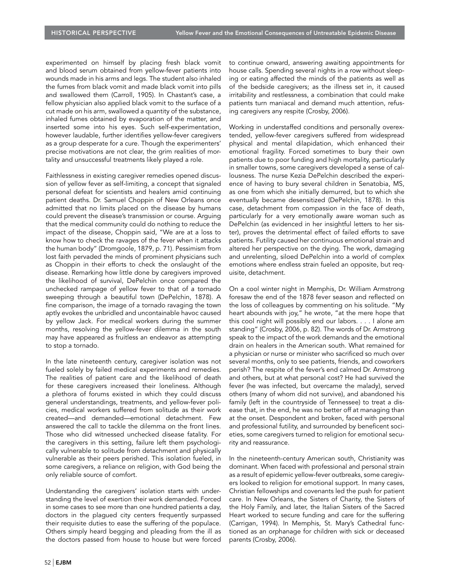experimented on himself by placing fresh black vomit and blood serum obtained from yellow-fever patients into wounds made in his arms and legs. The student also inhaled the fumes from black vomit and made black vomit into pills and swallowed them (Carroll, 1905). In Chastant's case, a fellow physician also applied black vomit to the surface of a cut made on his arm, swallowed a quantity of the substance, inhaled fumes obtained by evaporation of the matter, and inserted some into his eyes. Such self-experimentation, however laudable, further identifies yellow-fever caregivers as a group desperate for a cure. Though the experimenters' precise motivations are not clear, the grim realities of mortality and unsuccessful treatments likely played a role.

Faithlessness in existing caregiver remedies opened discussion of yellow fever as self-limiting, a concept that signaled personal defeat for scientists and healers amid continuing patient deaths. Dr. Samuel Choppin of New Orleans once admitted that no limits placed on the disease by humans could prevent the disease's transmission or course. Arguing that the medical community could do nothing to reduce the impact of the disease, Choppin said, "We are at a loss to know how to check the ravages of the fever when it attacks the human body" (Dromgoole, 1879, p. 71). Pessimism from lost faith pervaded the minds of prominent physicians such as Choppin in their efforts to check the onslaught of the disease. Remarking how little done by caregivers improved the likelihood of survival, DePelchin once compared the unchecked rampage of yellow fever to that of a tornado sweeping through a beautiful town (DePelchin, 1878). A fine comparison, the image of a tornado ravaging the town aptly evokes the unbridled and uncontainable havoc caused by yellow Jack. For medical workers during the summer months, resolving the yellow-fever dilemma in the south may have appeared as fruitless an endeavor as attempting to stop a tornado.

In the late nineteenth century, caregiver isolation was not fueled solely by failed medical experiments and remedies. The realities of patient care and the likelihood of death for these caregivers increased their loneliness. Although a plethora of forums existed in which they could discuss general understandings, treatments, and yellow-fever policies, medical workers suffered from solitude as their work created—and demanded—emotional detachment. Few answered the call to tackle the dilemma on the front lines. Those who did witnessed unchecked disease fatality. For the caregivers in this setting, failure left them psychologically vulnerable to solitude from detachment and physically vulnerable as their peers perished. This isolation fueled, in some caregivers, a reliance on religion, with God being the only reliable source of comfort.

Understanding the caregivers' isolation starts with understanding the level of exertion their work demanded. Forced in some cases to see more than one hundred patients a day, doctors in the plagued city centers frequently surpassed their requisite duties to ease the suffering of the populace. Others simply heard begging and pleading from the ill as the doctors passed from house to house but were forced to continue onward, answering awaiting appointments for house calls. Spending several nights in a row without sleeping or eating affected the minds of the patients as well as of the bedside caregivers; as the illness set in, it caused irritability and restlessness, a combination that could make patients turn maniacal and demand much attention, refusing caregivers any respite (Crosby, 2006).

Working in understaffed conditions and personally overextended, yellow-fever caregivers suffered from widespread physical and mental dilapidation, which enhanced their emotional fragility. Forced sometimes to bury their own patients due to poor funding and high mortality, particularly in smaller towns, some caregivers developed a sense of callousness. The nurse Kezia DePelchin described the experience of having to bury several children in Senatobia, MS, as one from which she initially demurred, but to which she eventually became desensitized (DePelchin, 1878). In this case, detachment from compassion in the face of death, particularly for a very emotionally aware woman such as DePelchin (as evidenced in her insightful letters to her sister), proves the detrimental effect of failed efforts to save patients. Futility caused her continuous emotional strain and altered her perspective on the dying. The work, damaging and unrelenting, siloed DePelchin into a world of complex emotions where endless strain fueled an opposite, but requisite, detachment.

On a cool winter night in Memphis, Dr. William Armstrong foresaw the end of the 1878 fever season and reflected on the loss of colleagues by commenting on his solitude. "My heart abounds with joy," he wrote, "at the mere hope that this cool night will possibly end our labors. . . . I alone am standing" (Crosby, 2006, p. 82). The words of Dr. Armstrong speak to the impact of the work demands and the emotional drain on healers in the American south. What remained for a physician or nurse or minister who sacrificed so much over several months, only to see patients, friends, and coworkers perish? The respite of the fever's end calmed Dr. Armstrong and others, but at what personal cost? He had survived the fever (he was infected, but overcame the malady), served others (many of whom did not survive), and abandoned his family (left in the countryside of Tennessee) to treat a disease that, in the end, he was no better off at managing than at the onset. Despondent and broken, faced with personal and professional futility, and surrounded by beneficent societies, some caregivers turned to religion for emotional security and reassurance.

In the nineteenth-century American south, Christianity was dominant. When faced with professional and personal strain as a result of epidemic yellow-fever outbreaks, some caregivers looked to religion for emotional support. In many cases, Christian fellowships and covenants led the push for patient care. In New Orleans, the Sisters of Charity, the Sisters of the Holy Family, and later, the Italian Sisters of the Sacred Heart worked to secure funding and care for the suffering (Carrigan, 1994). In Memphis, St. Mary's Cathedral functioned as an orphanage for children with sick or deceased parents (Crosby, 2006).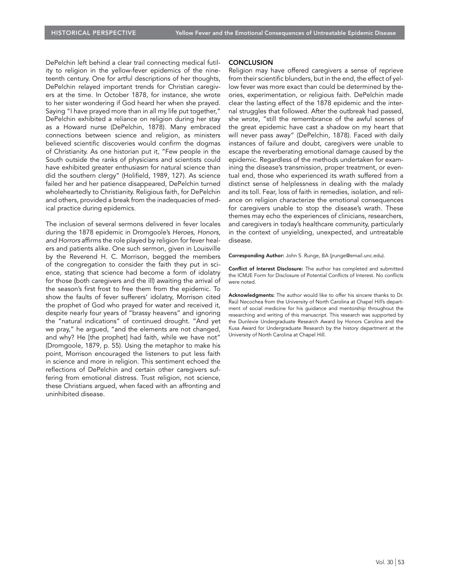DePelchin left behind a clear trail connecting medical futility to religion in the yellow-fever epidemics of the nineteenth century. One for artful descriptions of her thoughts, DePelchin relayed important trends for Christian caregivers at the time. In October 1878, for instance, she wrote to her sister wondering if God heard her when she prayed. Saying "I have prayed more than in all my life put together," DePelchin exhibited a reliance on religion during her stay as a Howard nurse (DePelchin, 1878). Many embraced connections between science and religion, as ministers believed scientific discoveries would confirm the dogmas of Christianity. As one historian put it, "Few people in the South outside the ranks of physicians and scientists could have exhibited greater enthusiasm for natural science than did the southern clergy" (Holifield, 1989, 127). As science failed her and her patience disappeared, DePelchin turned wholeheartedly to Christianity. Religious faith, for DePelchin and others, provided a break from the inadequacies of medical practice during epidemics.

The inclusion of several sermons delivered in fever locales during the 1878 epidemic in Dromgoole's Heroes, Honors, and Horrors affirms the role played by religion for fever healers and patients alike. One such sermon, given in Louisville by the Reverend H. C. Morrison, begged the members of the congregation to consider the faith they put in science, stating that science had become a form of idolatry for those (both caregivers and the ill) awaiting the arrival of the season's first frost to free them from the epidemic. To show the faults of fever sufferers' idolatry, Morrison cited the prophet of God who prayed for water and received it, despite nearly four years of "brassy heavens" and ignoring the "natural indications" of continued drought. "And yet we pray," he argued, "and the elements are not changed, and why? He [the prophet] had faith, while we have not" (Dromgoole, 1879, p. 55). Using the metaphor to make his point, Morrison encouraged the listeners to put less faith in science and more in religion. This sentiment echoed the reflections of DePelchin and certain other caregivers suffering from emotional distress. Trust religion, not science, these Christians argued, when faced with an affronting and uninhibited disease.

#### **CONCLUSION**

Religion may have offered caregivers a sense of reprieve from their scientific blunders, but in the end, the effect of yellow fever was more exact than could be determined by theories, experimentation, or religious faith. DePelchin made clear the lasting effect of the 1878 epidemic and the internal struggles that followed. After the outbreak had passed, she wrote, "still the remembrance of the awful scenes of the great epidemic have cast a shadow on my heart that will never pass away" (DePelchin, 1878). Faced with daily instances of failure and doubt, caregivers were unable to escape the reverberating emotional damage caused by the epidemic. Regardless of the methods undertaken for examining the disease's transmission, proper treatment, or eventual end, those who experienced its wrath suffered from a distinct sense of helplessness in dealing with the malady and its toll. Fear, loss of faith in remedies, isolation, and reliance on religion characterize the emotional consequences for caregivers unable to stop the disease's wrath. These themes may echo the experiences of clinicians, researchers, and caregivers in today's healthcare community, particularly in the context of unyielding, unexpected, and untreatable disease.

Corresponding Author: John S. Runge, BA (jrunge@email.unc.edu).

Conflict of Interest Disclosure: The author has completed and submitted the ICMJE Form for Disclosure of Potential Conflicts of Interest. No conflicts were noted.

Acknowledgments: The author would like to offer his sincere thanks to Dr. Raúl Necochea from the University of North Carolina at Chapel Hill's department of social medicine for his guidance and mentorship throughout the researching and writing of this manuscript. This research was supported by the Dunlevie Undergraduate Research Award by Honors Carolina and the Kusa Award for Undergraduate Research by the history department at the University of North Carolina at Chapel Hill.